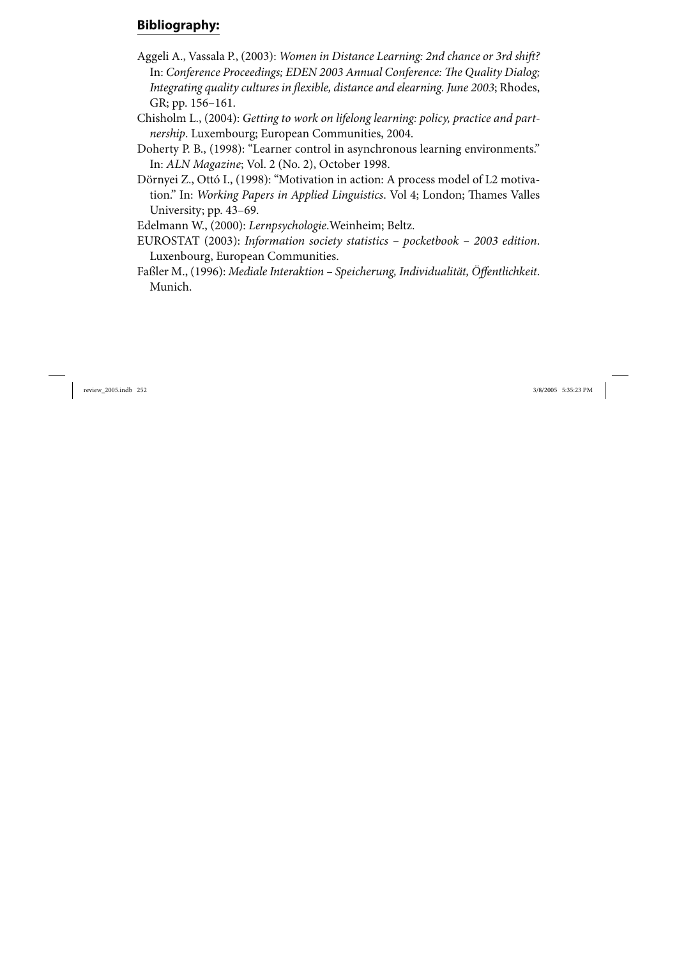## **Bibliography:**

- Aggeli A., Vassala P., (2003): *Women in Distance Learning: 2nd chance or 3rd shift?* In: *Conference Proceedings; EDEN 2003 Annual Conference: The Quality Dialog; Integrating quality cultures in flexible, distance and elearning. June 2003*; Rhodes, GR; pp. 156–161.
- Chisholm L., (2004): *Getting to work on lifelong learning: policy, practice and partnership*. Luxembourg; European Communities, 2004.
- Doherty P. B., (1998): "Learner control in asynchronous learning environments." In: *ALN Magazine*; Vol. 2 (No. 2), October 1998.
- Dörnyei Z., Ottó I., (1998): "Motivation in action: A process model of L2 motivation." In: *Working Papers in Applied Linguistics*. Vol 4; London; Thames Valles University; pp. 43–69.

Edelmann W., (2000): *Lernpsychologie*.Weinheim; Beltz.

- EUROSTAT (2003): *Information society statistics pocketbook 2003 edition*. Luxenbourg, European Communities.
- Faßler M., (1996): *Mediale Interaktion Speicherung, Individualität, Öffentlichkeit*. Munich.

review\_2005.indb 252 3/8/2005 5:35:23 PM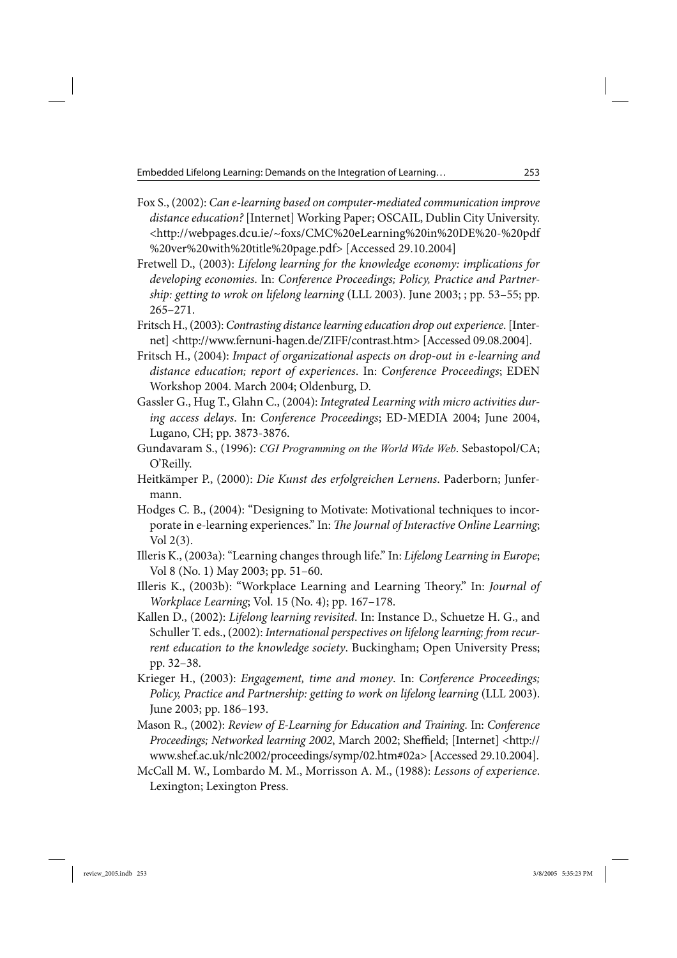Embedded Lifelong Learning: Demands on the Integration of Learning… 253

- Fox S., (2002): *Can e-learning based on computer-mediated communication improve distance education?* [Internet] Working Paper; OSCAIL, Dublin City University. <http://webpages.dcu.ie/~foxs/CMC%20eLearning%20in%20DE%20-%20pdf %20ver%20with%20title%20page.pdf> [Accessed 29.10.2004]
- Fretwell D., (2003): *Lifelong learning for the knowledge economy: implications for developing economies*. In: *Conference Proceedings; Policy, Practice and Partnership: getting to wrok on lifelong learning* (LLL 2003). June 2003; ; pp. 53–55; pp. 265–271.
- Fritsch H., (2003): *Contrasting distance learning education drop out experience*. [Internet] <http://www.fernuni-hagen.de/ZIFF/contrast.htm> [Accessed 09.08.2004].
- Fritsch H., (2004): *Impact of organizational aspects on drop-out in e-learning and distance education; report of experiences*. In: *Conference Proceedings*; EDEN Workshop 2004. March 2004; Oldenburg, D.
- Gassler G., Hug T., Glahn C., (2004): *Integrated Learning with micro activities during access delays*. In: *Conference Proceedings*; ED-MEDIA 2004; June 2004, Lugano, CH; pp. 3873-3876.
- Gundavaram S., (1996): *CGI Programming on the World Wide Web*. Sebastopol/CA; O'Reilly.
- Heitkämper P., (2000): *Die Kunst des erfolgreichen Lernens*. Paderborn; Junfermann.
- Hodges C. B., (2004): "Designing to Motivate: Motivational techniques to incorporate in e-learning experiences." In: *The Journal of Interactive Online Learning*; Vol 2(3).
- Illeris K., (2003a): "Learning changes through life." In: *Lifelong Learning in Europe*; Vol 8 (No. 1) May 2003; pp. 51–60.
- Illeris K., (2003b): "Workplace Learning and Learning Theory." In: *Journal of Workplace Learning*; Vol. 15 (No. 4); pp. 167–178.
- Kallen D., (2002): *Lifelong learning revisited*. In: Instance D., Schuetze H. G., and Schuller T. eds., (2002): *International perspectives on lifelong learning; from recurrent education to the knowledge society*. Buckingham; Open University Press; pp. 32–38.
- Krieger H., (2003): *Engagement, time and money*. In: *Conference Proceedings; Policy, Practice and Partnership: getting to work on lifelong learning* (LLL 2003). June 2003; pp. 186–193.
- Mason R., (2002): *Review of E-Learning for Education and Training*. In: *Conference Proceedings; Networked learning 2002*, March 2002; Sheffield; [Internet] <http:// www.shef.ac.uk/nlc2002/proceedings/symp/02.htm#02a> [Accessed 29.10.2004].
- McCall M. W., Lombardo M. M., Morrisson A. M., (1988): *Lessons of experience*. Lexington; Lexington Press.